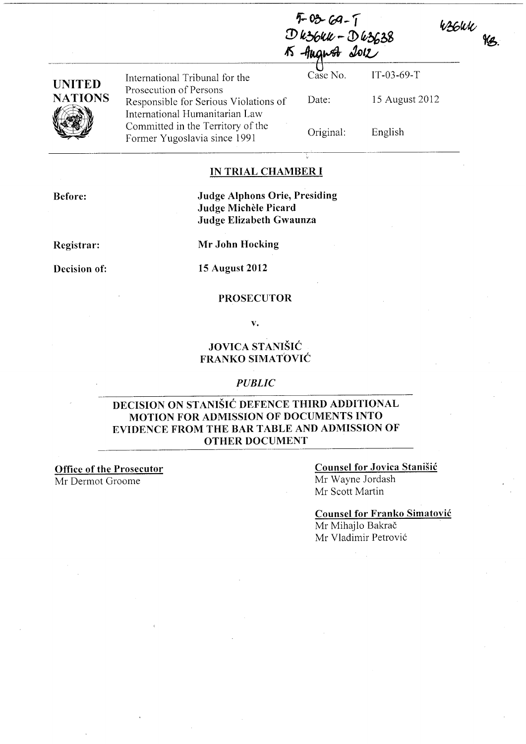| $5 - 03 - 69 - 1$              |  |
|--------------------------------|--|
| $D$ k $36$ kk $k - D$ k $3638$ |  |
| K August 2012                  |  |

| UNITED  |  |
|---------|--|
| NATIONS |  |
|         |  |

Prosecution of Persons Responsible for Serious Violations of International Humanitarian Law Committed in the Territory of the Former Yugoslavia since 1991

International Tribunal for the Case No. IT-03-69-T Date: Original:

15 August 2012

W36WK<br>NB.

English

### IN TRIAL CHAMBER I

Before:

Judge Alphons Orie, Presiding Judge Michele Picard Judge Elizabeth Gwaunza

Registrar:

Mr John Hocking

Decision of:

15 August 2012

#### PROSECUTOR

v.

## JOVICA STANIŠIĆ FRANKO SIMATOVIĆ

### *PUBLIC*

### DECISION ON STANIŠIĆ DEFENCE THIRD ADDITIONAL MOTION FOR ADMISSION OF DOCUMENTS INTO EVIDENCE FROM THE BAR TABLE AND ADMISSION OF OTHER DOCUMENT

Office of the Prosecutor Mr Dermot Groome

### Counsel for Jovica Stanišić Mr Wayne lordash Mr Scott Martin

Counsel for Franko Simatović Mr Mihajlo Bakrač

Mr Vladimir Petrović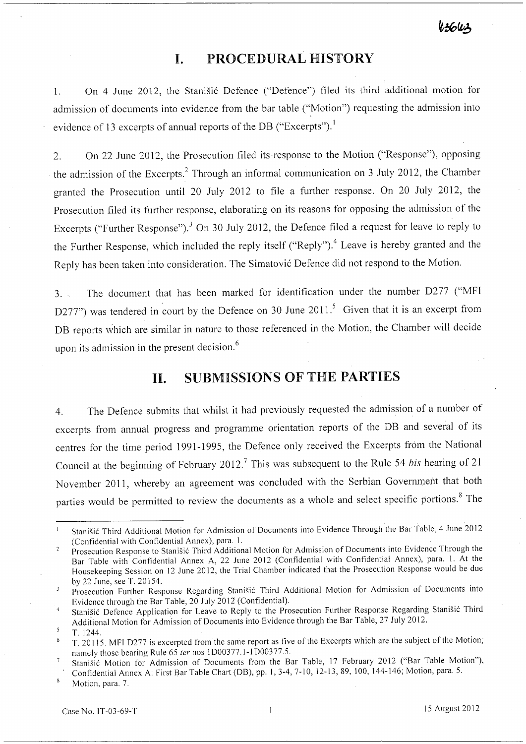$4,360.2$ 

# **l. PROCEDURAL HISTORY**

l. On 4 June 2012, the Stanišić Defence ("Defence") filed its third additional motion for admission of documents into evidence from the bar table ("Motion") requesting the admission into evidence of 13 excerpts of annual reports of the DB ("Excerpts").<sup>1</sup>

2. On 22 June 2012, the Prosecution filed its ·response to the Motion ("Response"), opposing the admission of the Excerpts? Through an informal communication on 3 July 2012, the Chamber granted the Prosecution until 20 July 2012 to file a further response. On 20 July 2012, the Prosecution filed its further response, elaborating on its reasons for opposing the admission of the Excerpts ("Further Response").<sup>3</sup> On 30 July 2012, the Defence filed a request for leave to reply to the Further Response, which included the reply itself ("Reply").<sup>4</sup> Leave is hereby granted and the Reply has been taken into consideration. The Simatović Defence did not respond to the Motion.

3. - The document that has been marked for identification under the number D277 ("MFI D277") was tendered in court by the Defence on 30 June 2011.<sup>5</sup> Given that it is an excerpt from DB reports which are similar in nature to those referenced in the Motion, the Chamber will decide upon its admission in the present decision.<sup>6</sup>

# **II. SUBMISSIONS OF** THE **PARTIES**

4. The Defence submits that whilst it had previously requested the admission of a number of excerpts from annual progress and programme orientation reports of the DB and several of its centres for the time period 1991-1995, the Defence only received the Excerpts from the National Council at the beginning of February 2012.7 This was subsequent to the Rule 54 *bis* hearing of21 November 2011, whereby an agreement was concluded with the Serbian Government that both parties would be permitted to review the documents as a whole and select specific portions.<sup>8</sup> The

Confidential Annex A: First Bar Table Chart (DB), pp. 1, 3-4, 7-10, 12-13, 89, 100, 144-146; Motion, para. 5.

Motion, para. 7.

Stanišić Third Additional Motion for Admission of Documents into Evidence Through the Bar Table, 4 June 2012 (Confidential with Confidential Annex), para. l.

Prosecution Response to Stanišić Third Additional Motion for Admission of Documents into Evidence Through the Bar Table with Confidential Annex A, 22 June 2012 (Confidential with Confidential Annex), para. l. At the Housekeeping Session on 12 June 2012, the Trial Chamber indicated that the Prosecution Response would be due by 22 June, see T. 20154.

Prosecution Further Response Regarding Stanišić Third Additional Motion for Admission of Documents into Evidence through the Bar Table, 20 July 2012 (Confidential).

Stanišić Defence Application for Leave to Reply to the Prosecution Further Response Regarding Stanišić Third Additional Motion for Admission of Documents into Evidence through the Bar Table, 27 July 2012.

T.1244.

T. 20115. MFI 0277 is excerpted from the same report as five of the Excerpts which are the subject of the Motion, namely those bearing Rule 65 *ter* nos 1000377.1-1000377.5.

Stanišić Motion for Admission of Documents from the Bar Table, 17 February 2012 ("Bar Table Motion"),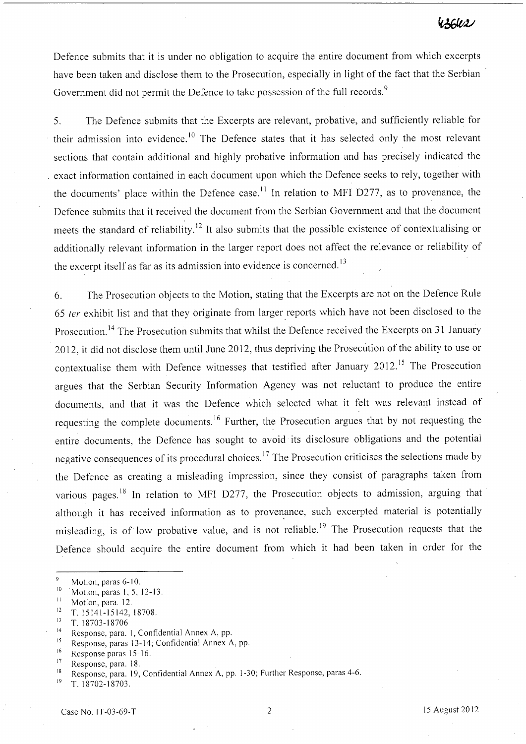Defence submits that it is under no obligation to acquire the entire document from which excerpts have been taken and disclose them to the Prosecution, especially in light of the fact that the Serbian . Government did not permit the Defence to take possession of the full records.<sup>9</sup>

5. The Defence submits that the Excerpts are relevant, probative, and sufficiently reliable for their admission into evidence.<sup>10</sup> The Defence states that it has selected only the most relevant sections that contain additional and highly probative information and has precisely indicated the . exact information contained in each document upon which the Defence seeks to rely, together with the documents' place within the Defence case.<sup>11</sup> In relation to MFI D277, as to provenance, the Defence submits that it received the document from the Serbian Government and that the document meets the standard of reliability.<sup>12</sup> It also submits that the possible existence of contextualising or additionally relevant information in the larger report does not affect the relevance or reliability of the excerpt itself as far as its admission into evidence is concerned.<sup>13</sup>

6. The Prosecution objects to the Motion, stating that the Excerpts are not on the Defence Rule *65* fer exhibit list and that they originate from larger reports which have not been disclosed to the Prosecution.<sup>14</sup> The Prosecution submits that whilst the Defence received the Excerpts on 31 January 2012, it did not disclose them until June 2012, thus depriving the Prosecution of the ability to use or contextualise them with Defence witnesses that testified after January 2012.<sup>15</sup> The Prosecution argues that the Serbian Security Information Agency was not reluctant to produce the entire documents, and that it was the Defence which selected what it felt was relevant instead of requesting the complete documents.<sup>16</sup> Further, the Prosecution argues that by not requesting the entire documents, the Defence has sought to avoid its disclosure obligations and the potential negative consequences of its procedural choices. 17 The Prosecution criticises the selections made by the Defence as creating a misleading impression, since they consist of paragraphs taken from various pages.<sup>18</sup> In relation to MFI D277, the Prosecution objects to admission, arguing that although it has received information as to provenance, such excerpted material is potentially misleading, is of low probative value, and is not reliable.<sup>19</sup> The Prosecution requests that the Defence should acquire the entire document from which it had been taken in order for the

- $\mathfrak{g}$ Motion, paras 6-10.
- <sup>10</sup> 'Motion, paras 1, 5, 12-13.<br><sup>11</sup> Motion, para. 12.
- 
- $12$  T. 15141-15142, 18708.
- $13$  T. 18703-18706
- <sup>14</sup> Response, para. 1, Confidential Annex A, pp.
- <sup>15</sup> Response, paras 13-14; Confidential Annex A, pp.
- <sup>16</sup> Response paras 15-16.
- $17$  Response, para. 18.

 $^{19}$  T. 18702-18703.

<sup>18</sup>Response, para. 19, Confidential Annex A, pp. 1-30; Further Response, paras 4-6.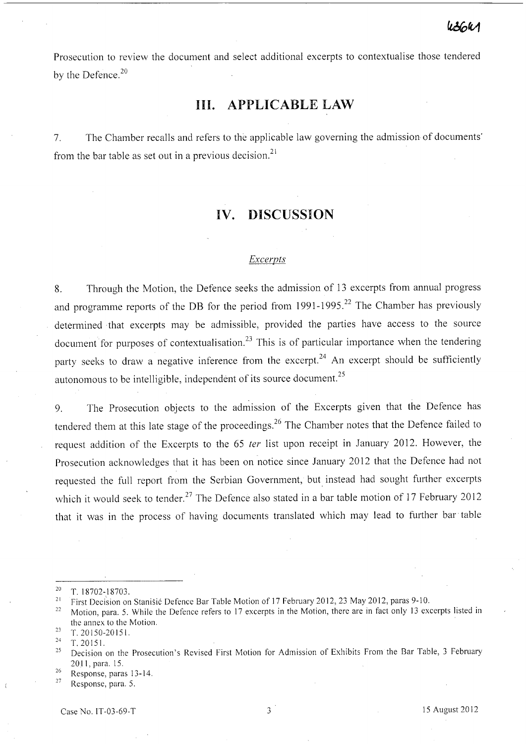Prosecution to review the document and select additional excerpts to contextualise those tendered by the Defence.<sup>20</sup>

# **III. APPLICABLE LAW**

7. The Chamber recalls and refers to the applicable law governing the admission of documents' from the bar table as set out in a previous decision.<sup>21</sup>

## **IV. DISCUSSION**

#### *Excerpts*

8. Through the Motion, the Defence seeks the admission of 13 excerpts from annual progress and programme reports of the DB for the period from  $1991-1995$ .<sup>22</sup> The Chamber has previously determined that excerpts may be admissible, provided the parties have access to the source document for purposes of contextualisation.<sup>23</sup> This is of particular importance when the tendering party seeks to draw a negative inference from the excerpt.<sup>24</sup> An excerpt should be sufficiently autonomous to be intelligible, independent of its source document. <sup>25</sup>

9. The Prosecution objects to the admission of the Excerpts given that the Defence has tendered them at this late stage of the proceedings.<sup>26</sup> The Chamber notes that the Defence failed to request addition of the Excerpts to the 65 *ter* list upon receipt in January 2012. However, the Prosecution acknowledges that it has been on notice since January 2012 that the Defence had not requested the full report from the Serbian Government, but, instead had sought further excerpts which it would seek to tender.<sup>27</sup> The Defence also stated in a bar table motion of 17 February 2012 that it was in the process of having documents translated which may lead to further bar' table

27 Response, para. 5.

 $20$  T. 18702-18703.

<sup>&</sup>lt;sup>21</sup> First Decision on Stanišić Defence Bar Table Motion of 17 February 2012, 23 May 2012, paras 9-10.

<sup>&</sup>lt;sup>22</sup> Motion, para. 5. While the Defence refers to 17 excerpts in the Motion, there are in fact only 13 excerpts listed in the annex to the Motion.

 $23$  T. 20150-20151.

<sup>24</sup>**T. 20151.** 

<sup>&</sup>lt;sup>25</sup> Decision on the Prosecution's Revised First Motion for Admission of Exhibits From the Bar Table, 3 February 2011, para. 15.

<sup>26</sup> Response, paras 13-14.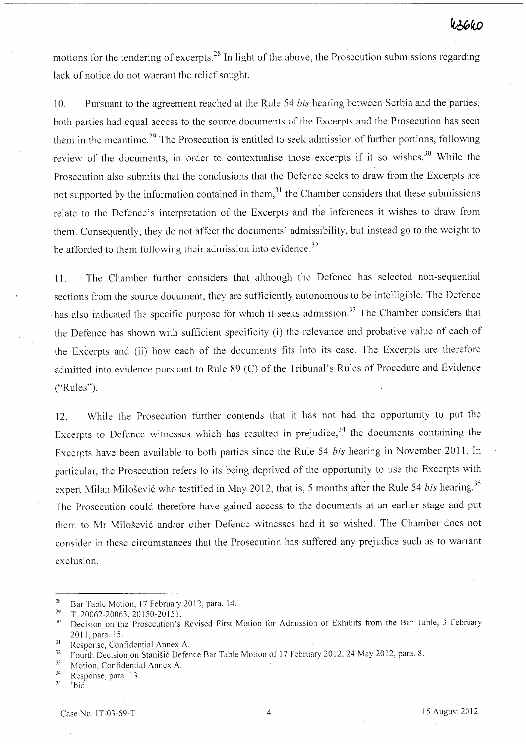## WSGWD

motions for the tendering of excerpts.<sup>28</sup> In light of the above, the Prosecution submissions regarding lack of notice do not warrant the relief sought.

10. Pursuant to the agreement reached at the Rule 54 *bis* hearing between Serbia and the parties, both parties had equal access to the source documents of the Excerpts and the Prosecution has seen them in the meantime.<sup>29</sup> The Prosecution is entitled to seek admission of further portions, following review of the documents, in order to contextualise those excerpts if it so wishes.<sup>30</sup> While the Prosecution also submits that the conclusions that the Defence seeks to draw from the Excerpts are not supported by the information contained in them, $3<sup>1</sup>$  the Chamber considers that these submissions relate to the Defence's interpretation of the Excerpts and the inferences it wishes to draw from them. Consequently, they do not affect the documents' admissibility, but instead go to the weight to be afforded to them following their admission into evidence.<sup>32</sup>

ll. The Chamber further considers that although the Defence has selected non-sequential sections from the source document, they are sufficiently autonomous to be intelligible. The Defence has also indicated the specific purpose for which it seeks admission.<sup>33</sup> The Chamber considers that the Defence has shown with sufficient specificity (i) the relevance and probative value of each of the Excerpts and (ii) how each of the documents fits into its case. The Excerpts are therefore admitted into evidence pursuant to Rule 89 (C) of the Tribunal's Rules of Procedure and Evidence ("Rules").

12. While the Prosecution further contends that it has not had the opportunity to put the Excerpts to Defence witnesses which has resulted in prejudice, $34$  the documents containing the Excerpts have been available to both parties since the Rule 54 *bis* hearing in November 201 l. In particular, the Prosecution refers to its being deprived of the opportunity to use the Excerpts with expert Milan Milošević who testified in May 2012, that is, 5 months after the Rule 54 *bis* hearing.<sup>35</sup> The Prosecution could therefore have gained access to the documents at an earlier stage and put them to Mr Milošević and/or other Defence witnesses had it so wished. The Chamber does not consider in these circumstances that the.Prosecution has suffered any prejudice such as to warrant exclusion.

<sup>&</sup>lt;sup>28</sup> Bar Table Motion, 17 February 2012, para. 14.

 $29$  T. 20062-20063, 20150-20151.

<sup>&</sup>lt;sup>30</sup> Decision on the Prosecution's Revised First Motion for Admission of Exhibits from the Bar Table, 3 February 2011, para. 15.

<sup>&</sup>lt;sup>31</sup> Response, Confidential Annex A.<br> $\frac{32}{2}$  Equation on Stanistic Defer

<sup>&</sup>lt;sup>32</sup> Fourth Decision on Stanišić Defence Bar Table Motion of 17 February 2012, 24 May 2012, para. 8.<br><sup>33</sup> Motion Confidential Annoy A

 $\frac{33}{14}$  Motion, Confidential Annex A.<br>
Response, para. 13.

<sup>35</sup> Ibid.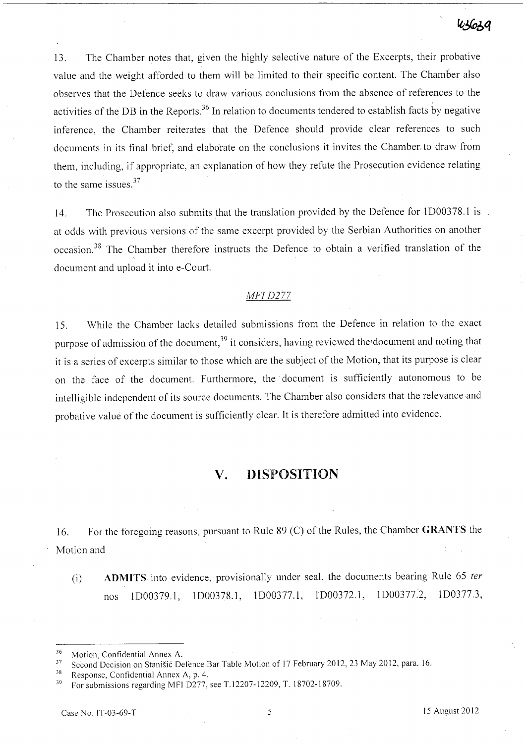13. The Chamber notes that, given the highly selective nature of the Excerpts, their probative value and the weight afforded to them will be limited to their specific content. The Chamber also observes that the Defence seeks to draw various conclusions from the absence of references to the activities of the DB in the Reports. 36 In relation to documents tendered to establish facts by negative inference, the Chamber reiterates that the Defence should provide clear references to such documents in its final brief, and elaborate on the conclusions it invites the Chamber. to draw from them, including, if appropriate, an explanation of how they refute the Prosecution evidence relating to the same issues. $37$ 

14. The Prosecution also submits that the translation provided by the Defence for lD00378.1 is at odds with previous versions of the same excerpt provided by the Serbian Authorities on another occasion. 38 The Chamber therefore instructs the Defence to obtain a verified translation of the document and upload it into e-Court.

### *MFI D277*

15. While the Chamber lacks detailed submissions from the Defence in relation to the exact purpose of admission of the document,<sup>39</sup> it considers, having reviewed the document and noting that it is a series of excerpts similar to those which are the subject of the Motion, that its purpose is clear on the face of the document. Furthermore, the document is sufficiently autonomous to be intelligible independent of its source documents. The Chamber also considers that the relevance and probative value of the document is sufficiently clear. It is therefore admitted into evidence.

## **v. DISPOSITION**

16. For the foregoing reasons, pursuant to Rule 89 CC) of the Rules, the Chamber **GRANTS** the Motion and

Ci) **ADMITS** into evidence, provisionally under seal, the documents bearing Rule 65 *ter*  nos 1D00379.l, l D00378.l, lD00377.l, *1D00372.1,* lD00377.2, 1D0377.3,

 $36$  Motion, Confidential Annex A.

<sup>&</sup>lt;sup>37</sup> Second Decision on Stanišić Defence Bar Table Motion of 17 February 2012, 23 May 2012, para. 16.<br><sup>38</sup> Becapase, Confidential Annex A, p. 4.

<sup>&</sup>lt;sup>38</sup> Response, Confidential Annex A, p. 4.<br> $\frac{39}{2}$  Equal propositions regarding MEI D277.

<sup>39</sup> For submissions regarding MFI 0277, see T.12207-12209, T. 18702-18709.